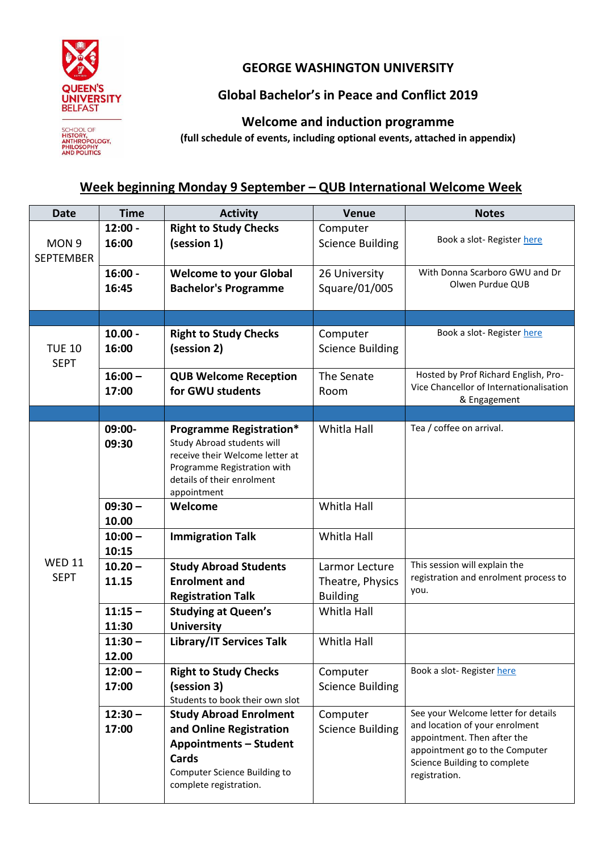

## **GEORGE WASHINGTON UNIVERSITY**

## **Global Bachelor's in Peace and Conflict 2019**

SCHOOL OF<br>HISTORY,<br>ANTHROPOLOGY,<br>PHILOSOPHY<br>AND POLITICS

**Welcome and induction programme**

**(full schedule of events, including optional events, attached in appendix)**

## **Week beginning Monday 9 September – QUB International Welcome Week**

| <b>Date</b>                          | <b>Time</b>        | <b>Activity</b>                                                                                                                                                             | Venue                               | <b>Notes</b>                                                  |
|--------------------------------------|--------------------|-----------------------------------------------------------------------------------------------------------------------------------------------------------------------------|-------------------------------------|---------------------------------------------------------------|
| MON <sub>9</sub><br><b>SEPTEMBER</b> | $12:00 -$<br>16:00 | <b>Right to Study Checks</b><br>(session 1)                                                                                                                                 | Computer<br><b>Science Building</b> | Book a slot-Register here                                     |
|                                      | $16:00 -$          | <b>Welcome to your Global</b>                                                                                                                                               | 26 University                       | With Donna Scarboro GWU and Dr                                |
|                                      | 16:45              | <b>Bachelor's Programme</b>                                                                                                                                                 | Square/01/005                       | Olwen Purdue QUB                                              |
|                                      |                    |                                                                                                                                                                             |                                     |                                                               |
| <b>TUE 10</b><br><b>SEPT</b>         | $10.00 -$<br>16:00 | <b>Right to Study Checks</b><br>(session 2)                                                                                                                                 | Computer<br><b>Science Building</b> | Book a slot-Register here                                     |
|                                      | $16:00 -$          | <b>QUB Welcome Reception</b>                                                                                                                                                | The Senate                          | Hosted by Prof Richard English, Pro-                          |
|                                      | 17:00              | for GWU students                                                                                                                                                            | Room                                | Vice Chancellor of Internationalisation<br>& Engagement       |
|                                      |                    |                                                                                                                                                                             |                                     |                                                               |
|                                      | 09:00-<br>09:30    | <b>Programme Registration*</b><br>Study Abroad students will<br>receive their Welcome letter at<br>Programme Registration with<br>details of their enrolment<br>appointment | Whitla Hall                         | Tea / coffee on arrival.                                      |
|                                      | $09:30 -$<br>10.00 | Welcome                                                                                                                                                                     | Whitla Hall                         |                                                               |
|                                      | $10:00 -$<br>10:15 | <b>Immigration Talk</b>                                                                                                                                                     | Whitla Hall                         |                                                               |
| <b>WED 11</b>                        | $10.20 -$          | <b>Study Abroad Students</b>                                                                                                                                                | Larmor Lecture                      | This session will explain the                                 |
| <b>SEPT</b>                          | 11.15              | <b>Enrolment and</b>                                                                                                                                                        | Theatre, Physics                    | registration and enrolment process to                         |
|                                      |                    | <b>Registration Talk</b>                                                                                                                                                    | <b>Building</b>                     | you.                                                          |
|                                      | $11:15 -$          | <b>Studying at Queen's</b>                                                                                                                                                  | Whitla Hall                         |                                                               |
|                                      | 11:30              | <b>University</b>                                                                                                                                                           |                                     |                                                               |
|                                      | $11:30 -$<br>12.00 | <b>Library/IT Services Talk</b>                                                                                                                                             | Whitla Hall                         |                                                               |
|                                      | $12:00 -$          | <b>Right to Study Checks</b>                                                                                                                                                | Computer                            | Book a slot-Register here                                     |
|                                      | 17:00              | (session 3)<br>Students to book their own slot                                                                                                                              | <b>Science Building</b>             |                                                               |
|                                      | $12:30 -$          | <b>Study Abroad Enrolment</b>                                                                                                                                               | Computer                            | See your Welcome letter for details                           |
|                                      | 17:00              | and Online Registration                                                                                                                                                     | <b>Science Building</b>             | and location of your enrolment<br>appointment. Then after the |
|                                      |                    | <b>Appointments - Student</b>                                                                                                                                               |                                     | appointment go to the Computer                                |
|                                      |                    | Cards<br>Computer Science Building to<br>complete registration.                                                                                                             |                                     | Science Building to complete<br>registration.                 |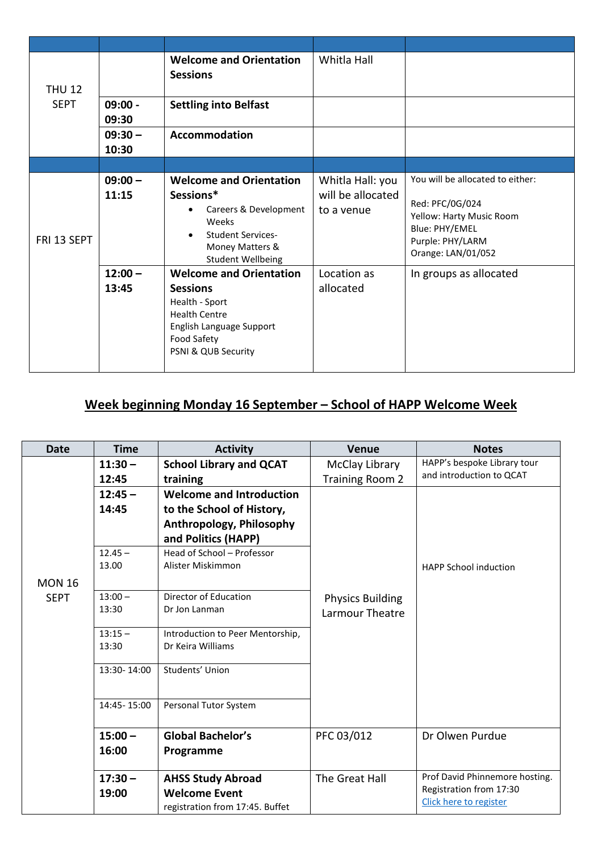| <b>THU 12</b> |                    | <b>Welcome and Orientation</b><br><b>Sessions</b>                                                                                                             | Whitla Hall                                         |                                                                                                                                             |
|---------------|--------------------|---------------------------------------------------------------------------------------------------------------------------------------------------------------|-----------------------------------------------------|---------------------------------------------------------------------------------------------------------------------------------------------|
| <b>SEPT</b>   | $09:00 -$<br>09:30 | <b>Settling into Belfast</b>                                                                                                                                  |                                                     |                                                                                                                                             |
|               | $09:30 -$<br>10:30 | Accommodation                                                                                                                                                 |                                                     |                                                                                                                                             |
|               |                    |                                                                                                                                                               |                                                     |                                                                                                                                             |
| FRI 13 SEPT   | $09:00 -$<br>11:15 | <b>Welcome and Orientation</b><br>Sessions*<br>Careers & Development<br>Weeks<br><b>Student Services-</b><br>Money Matters &<br><b>Student Wellbeing</b>      | Whitla Hall: you<br>will be allocated<br>to a venue | You will be allocated to either:<br>Red: PFC/0G/024<br>Yellow: Harty Music Room<br>Blue: PHY/EMEL<br>Purple: PHY/LARM<br>Orange: LAN/01/052 |
|               | $12:00 -$<br>13:45 | <b>Welcome and Orientation</b><br><b>Sessions</b><br>Health - Sport<br><b>Health Centre</b><br>English Language Support<br>Food Safety<br>PSNI & QUB Security | Location as<br>allocated                            | In groups as allocated                                                                                                                      |

## **Week beginning Monday 16 September – School of HAPP Welcome Week**

| <b>Date</b>   | <b>Time</b> | <b>Activity</b>                  | <b>Venue</b>            | <b>Notes</b>                   |
|---------------|-------------|----------------------------------|-------------------------|--------------------------------|
|               | $11:30 -$   | <b>School Library and QCAT</b>   | McClay Library          | HAPP's bespoke Library tour    |
|               | 12:45       | training                         | <b>Training Room 2</b>  | and introduction to OCAT       |
|               | $12:45 -$   | <b>Welcome and Introduction</b>  |                         |                                |
|               | 14:45       | to the School of History,        |                         |                                |
|               |             | Anthropology, Philosophy         |                         |                                |
|               |             | and Politics (HAPP)              |                         |                                |
|               | $12.45 -$   | Head of School - Professor       |                         |                                |
|               | 13.00       | Alister Miskimmon                |                         | <b>HAPP School induction</b>   |
| <b>MON 16</b> |             |                                  |                         |                                |
| <b>SEPT</b>   | $13:00 -$   | Director of Education            | <b>Physics Building</b> |                                |
|               | 13:30       | Dr Jon Lanman                    | Larmour Theatre         |                                |
|               | $13:15 -$   | Introduction to Peer Mentorship, |                         |                                |
|               | 13:30       | Dr Keira Williams                |                         |                                |
|               | 13:30-14:00 | Students' Union                  |                         |                                |
|               | 14:45-15:00 | Personal Tutor System            |                         |                                |
|               | $15:00 -$   | <b>Global Bachelor's</b>         | PFC 03/012              | Dr Olwen Purdue                |
|               | 16:00       | Programme                        |                         |                                |
|               | $17:30 -$   | <b>AHSS Study Abroad</b>         | The Great Hall          | Prof David Phinnemore hosting. |
|               | 19:00       | <b>Welcome Event</b>             |                         | Registration from 17:30        |
|               |             | registration from 17:45. Buffet  |                         | Click here to register         |